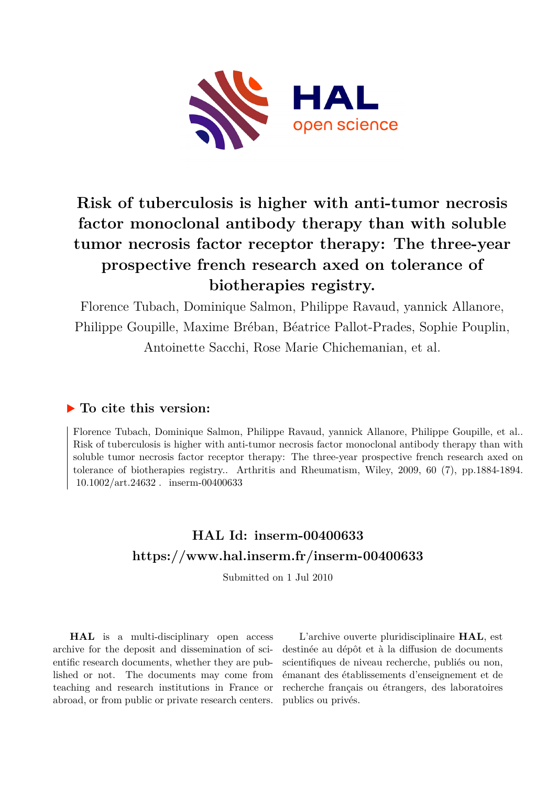

# **Risk of tuberculosis is higher with anti-tumor necrosis factor monoclonal antibody therapy than with soluble tumor necrosis factor receptor therapy: The three-year prospective french research axed on tolerance of biotherapies registry.**

Florence Tubach, Dominique Salmon, Philippe Ravaud, yannick Allanore, Philippe Goupille, Maxime Bréban, Béatrice Pallot-Prades, Sophie Pouplin, Antoinette Sacchi, Rose Marie Chichemanian, et al.

## **To cite this version:**

Florence Tubach, Dominique Salmon, Philippe Ravaud, yannick Allanore, Philippe Goupille, et al.. Risk of tuberculosis is higher with anti-tumor necrosis factor monoclonal antibody therapy than with soluble tumor necrosis factor receptor therapy: The three-year prospective french research axed on tolerance of biotherapies registry.. Arthritis and Rheumatism, Wiley, 2009, 60 (7), pp.1884-1894.  $10.1002/art.24632$ . inserm-00400633

## **HAL Id: inserm-00400633 <https://www.hal.inserm.fr/inserm-00400633>**

Submitted on 1 Jul 2010

**HAL** is a multi-disciplinary open access archive for the deposit and dissemination of scientific research documents, whether they are published or not. The documents may come from teaching and research institutions in France or abroad, or from public or private research centers.

L'archive ouverte pluridisciplinaire **HAL**, est destinée au dépôt et à la diffusion de documents scientifiques de niveau recherche, publiés ou non, émanant des établissements d'enseignement et de recherche français ou étrangers, des laboratoires publics ou privés.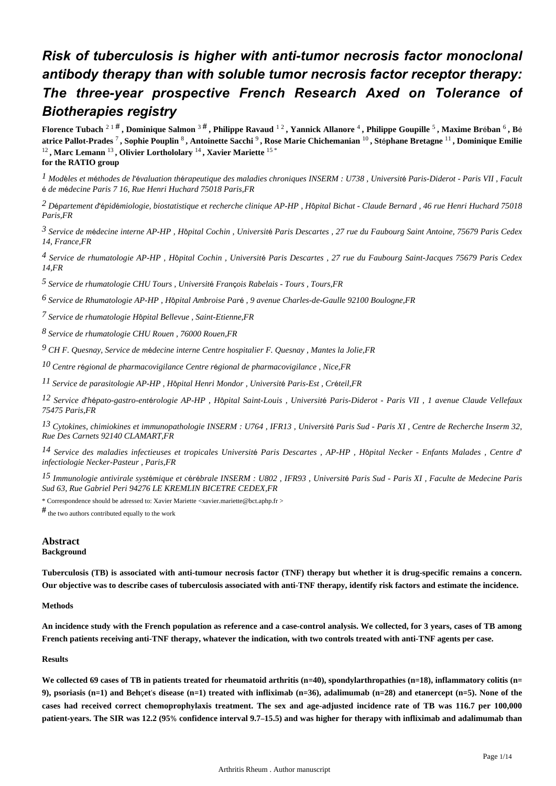## *Risk of tuberculosis is higher with anti-tumor necrosis factor monoclonal antibody therapy than with soluble tumor necrosis factor receptor therapy: The three-year prospective French Research Axed on Tolerance of Biotherapies registry*

**Florence Tubach** 2 1 # **, Dominique Salmon** 3 # **, Philippe Ravaud** 1 2 **, Yannick Allanore** <sup>4</sup> **, Philippe Goupille** <sup>5</sup> **, Maxime Br**é**ban** <sup>6</sup> **, B**é **atrice Pallot-Prades** <sup>7</sup> **, Sophie Pouplin** <sup>8</sup> **, Antoinette Sacchi** <sup>9</sup> **, Rose Marie Chichemanian** <sup>10</sup> **, St**é**phane Bretagne** <sup>11</sup> **, Dominique Emilie** <sup>12</sup>, Marc Lemann<sup>13</sup>, Olivier Lorthololary<sup>14</sup>, Xavier Mariette<sup>15\*</sup> **for the RATIO group**

*Mod les et m thodes de l valuation th rapeutique des maladies chroniques 1* <sup>è</sup> <sup>é</sup> 'é <sup>é</sup> *INSERM : U738 , Universit*é *Paris-Diderot - Paris VII , Facult* é *de m*é*decine Paris 7 16, Rue Henri Huchard 75018 Paris,FR*

*D partement d pid miologie, biostatistique et recherche clinique 2* <sup>é</sup> 'é <sup>é</sup> *AP-HP , H*ô*pital Bichat - Claude Bernard , 46 rue Henri Huchard 75018 Paris,FR*

*Service de m decine interne 3* <sup>é</sup> *AP-HP , H*ô*pital Cochin , Universit*é *Paris Descartes , 27 rue du Faubourg Saint Antoine, 75679 Paris Cedex 14, France,FR*

*Service de rhumatologie 4 AP-HP , H*ô*pital Cochin , Universit*é *Paris Descartes , 27 rue du Faubourg Saint-Jacques 75679 Paris Cedex 14,FR*

*Service de rhumatologie 5 CHU Tours , Universit*é *Fran*ç*ois Rabelais - Tours , Tours,FR*

*Service de Rhumatologie 6 AP-HP , H*ô*pital Ambroise Par*<sup>é</sup> *, 9 avenue Charles-de-Gaulle 92100 Boulogne,FR*

*Service de rhumatologie 7 H*ô*pital Bellevue , Saint-Etienne,FR*

*Service de rhumatologie 8 CHU Rouen , 76000 Rouen,FR*

*CH F. Quesnay, Service de m decine interne 9* <sup>é</sup> *Centre hospitalier F. Quesnay , Mantes la Jolie,FR*

*Centre r gional de pharmacovigilance 10* <sup>é</sup> *Centre r*é*gional de pharmacovigilance , Nice,FR*

*Service de parasitologie 11 AP-HP , H*ô*pital Henri Mondor , Universit*é *Paris-Est , Cr*é*teil,FR*

*Service d h pato-gastro-ent rologie 12*  ' é é *AP-HP , H*ô*pital Saint-Louis , Universit*é *Paris-Diderot - Paris VII , 1 avenue Claude Vellefaux 75475 Paris,FR*

*Cytokines, chimiokines et immunopathologie 13 INSERM : U764 , IFR13 , Universit*é *Paris Sud - Paris XI , Centre de Recherche Inserm 32, Rue Des Carnets 92140 CLAMART,FR*

*Service des maladies infectieuses et tropicales 14 Universit*é *Paris Descartes , AP-HP , H*ô*pital Necker - Enfants Malades , Centre d*' *infectiologie Necker-Pasteur , Paris,FR*

*Immunologie antivirale syst mique et c r brale 15* <sup>é</sup> <sup>é</sup> <sup>é</sup> *INSERM : U802 , IFR93 , Universit*é *Paris Sud - Paris XI , Faculte de Medecine Paris Sud 63, Rue Gabriel Peri 94276 LE KREMLIN BICETRE CEDEX,FR*

\* Correspondence should be adressed to: Xavier Mariette <xavier.mariette@bct.aphp.fr >

 $#$  the two authors contributed equally to the work

#### **Abstract Background**

**Tuberculosis (TB) is associated with anti-tumour necrosis factor (TNF) therapy but whether it is drug-specific remains a concern. Our objective was to describe cases of tuberculosis associated with anti-TNF therapy, identify risk factors and estimate the incidence.**

### **Methods**

**An incidence study with the French population as reference and a case-control analysis. We collected, for 3 years, cases of TB among French patients receiving anti-TNF therapy, whatever the indication, with two controls treated with anti-TNF agents per case.**

## **Results**

**We collected 69 cases of TB in patients treated for rheumatoid arthritis (n**=**40), spondylarthropathies (n**=**18), inflammatory colitis (n**= **9), psoriasis (n**=**1) and Beh**ç**et**'**s disease (n**=**1) treated with infliximab (n**=**36), adalimumab (n**=**28) and etanercept (n**=**5). None of the cases had received correct chemoprophylaxis treatment. The sex and age-adjusted incidence rate of TB was 116.7 per 100,000 patient-years. The SIR was 12.2 (95**% **confidence interval 9.7**–**15.5) and was higher for therapy with infliximab and adalimumab than**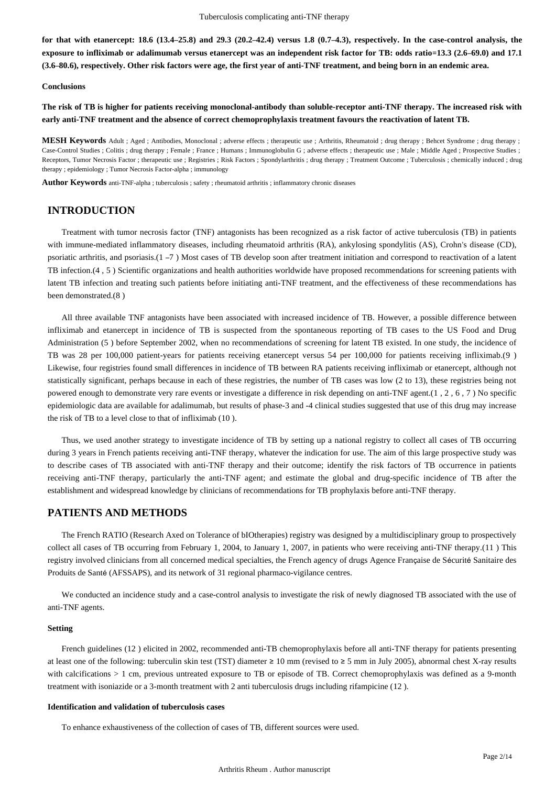**for that with etanercept: 18.6 (13.4**–**25.8) and 29.3 (20.2**–**42.4) versus 1.8 (0.7**–**4.3), respectively. In the case-control analysis, the exposure to infliximab or adalimumab versus etanercept was an independent risk factor for TB: odds ratio**=**13.3 (2.6**–**69.0) and 17.1 (3.6**–**80.6), respectively. Other risk factors were age, the first year of anti-TNF treatment, and being born in an endemic area.**

#### **Conclusions**

**The risk of TB is higher for patients receiving monoclonal-antibody than soluble-receptor anti-TNF therapy. The increased risk with early anti-TNF treatment and the absence of correct chemoprophylaxis treatment favours the reactivation of latent TB.**

**MESH Keywords** Adult ; Aged ; Antibodies, Monoclonal ; adverse effects ; therapeutic use ; Arthritis, Rheumatoid ; drug therapy ; Behcet Syndrome ; drug therapy ; Case-Control Studies ; Colitis ; drug therapy ; Female ; France ; Humans ; Immunoglobulin G ; adverse effects ; therapeutic use ; Male ; Middle Aged ; Prospective Studies ; Receptors, Tumor Necrosis Factor ; therapeutic use ; Registries ; Risk Factors ; Spondylarthritis ; drug therapy ; Treatment Outcome ; Tuberculosis ; chemically induced ; drug therapy ; epidemiology ; Tumor Necrosis Factor-alpha ; immunology

**Author Keywords** anti-TNF-alpha ; tuberculosis ; safety ; rheumatoid arthritis ; inflammatory chronic diseases

## **INTRODUCTION**

Treatment with tumor necrosis factor (TNF) antagonists has been recognized as a risk factor of active tuberculosis (TB) in patients with immune-mediated inflammatory diseases, including rheumatoid arthritis (RA), ankylosing spondylitis (AS), Crohn's disease (CD), psoriatic arthritis, and psoriasis.(1 –7 ) Most cases of TB develop soon after treatment initiation and correspond to reactivation of a latent TB infection.(4 , 5 ) Scientific organizations and health authorities worldwide have proposed recommendations for screening patients with latent TB infection and treating such patients before initiating anti-TNF treatment, and the effectiveness of these recommendations has been demonstrated.(8 )

All three available TNF antagonists have been associated with increased incidence of TB. However, a possible difference between infliximab and etanercept in incidence of TB is suspected from the spontaneous reporting of TB cases to the US Food and Drug Administration (5 ) before September 2002, when no recommendations of screening for latent TB existed. In one study, the incidence of TB was 28 per 100,000 patient-years for patients receiving etanercept versus 54 per 100,000 for patients receiving infliximab.(9 ) Likewise, four registries found small differences in incidence of TB between RA patients receiving infliximab or etanercept, although not statistically significant, perhaps because in each of these registries, the number of TB cases was low (2 to 13), these registries being not powered enough to demonstrate very rare events or investigate a difference in risk depending on anti-TNF agent.(1 , 2 , 6 , 7 ) No specific epidemiologic data are available for adalimumab, but results of phase-3 and -4 clinical studies suggested that use of this drug may increase the risk of TB to a level close to that of infliximab (10 ).

Thus, we used another strategy to investigate incidence of TB by setting up a national registry to collect all cases of TB occurring during 3 years in French patients receiving anti-TNF therapy, whatever the indication for use. The aim of this large prospective study was to describe cases of TB associated with anti-TNF therapy and their outcome; identify the risk factors of TB occurrence in patients receiving anti-TNF therapy, particularly the anti-TNF agent; and estimate the global and drug-specific incidence of TB after the establishment and widespread knowledge by clinicians of recommendations for TB prophylaxis before anti-TNF therapy.

## **PATIENTS AND METHODS**

The French RATIO (Research Axed on Tolerance of bIOtherapies) registry was designed by a multidisciplinary group to prospectively collect all cases of TB occurring from February 1, 2004, to January 1, 2007, in patients who were receiving anti-TNF therapy.(11 ) This registry involved clinicians from all concerned medical specialties, the French agency of drugs Agence Française de Sécurité Sanitaire des Produits de Santé (AFSSAPS), and its network of 31 regional pharmaco-vigilance centres.

We conducted an incidence study and a case-control analysis to investigate the risk of newly diagnosed TB associated with the use of anti-TNF agents.

#### **Setting**

French guidelines (12 ) elicited in 2002, recommended anti-TB chemoprophylaxis before all anti-TNF therapy for patients presenting at least one of the following: tuberculin skin test (TST) diameter ≥ 10 mm (revised to ≥ 5 mm in July 2005), abnormal chest X-ray results with calcifications > 1 cm, previous untreated exposure to TB or episode of TB. Correct chemoprophylaxis was defined as a 9-month treatment with isoniazide or a 3-month treatment with 2 anti tuberculosis drugs including rifampicine (12 ).

#### **Identification and validation of tuberculosis cases**

To enhance exhaustiveness of the collection of cases of TB, different sources were used.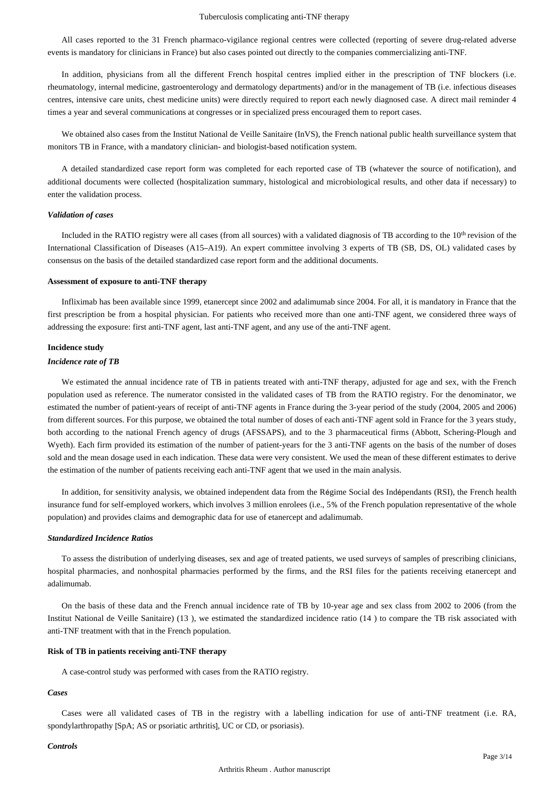#### Tuberculosis complicating anti-TNF therapy

All cases reported to the 31 French pharmaco-vigilance regional centres were collected (reporting of severe drug-related adverse events is mandatory for clinicians in France) but also cases pointed out directly to the companies commercializing anti-TNF.

In addition, physicians from all the different French hospital centres implied either in the prescription of TNF blockers (i.e. rheumatology, internal medicine, gastroenterology and dermatology departments) and/or in the management of TB (i.e. infectious diseases centres, intensive care units, chest medicine units) were directly required to report each newly diagnosed case. A direct mail reminder 4 times a year and several communications at congresses or in specialized press encouraged them to report cases.

We obtained also cases from the Institut National de Veille Sanitaire (InVS), the French national public health surveillance system that monitors TB in France, with a mandatory clinician- and biologist-based notification system.

A detailed standardized case report form was completed for each reported case of TB (whatever the source of notification), and additional documents were collected (hospitalization summary, histological and microbiological results, and other data if necessary) to enter the validation process.

#### *Validation of cases*

Included in the RATIO registry were all cases (from all sources) with a validated diagnosis of TB according to the  $10<sup>th</sup>$  revision of the International Classification of Diseases (A15–A19). An expert committee involving 3 experts of TB (SB, DS, OL) validated cases by consensus on the basis of the detailed standardized case report form and the additional documents.

#### **Assessment of exposure to anti-TNF therapy**

Infliximab has been available since 1999, etanercept since 2002 and adalimumab since 2004. For all, it is mandatory in France that the first prescription be from a hospital physician. For patients who received more than one anti-TNF agent, we considered three ways of addressing the exposure: first anti-TNF agent, last anti-TNF agent, and any use of the anti-TNF agent.

#### **Incidence study**

#### *Incidence rate of TB*

We estimated the annual incidence rate of TB in patients treated with anti-TNF therapy, adjusted for age and sex, with the French population used as reference. The numerator consisted in the validated cases of TB from the RATIO registry. For the denominator, we estimated the number of patient-years of receipt of anti-TNF agents in France during the 3-year period of the study (2004, 2005 and 2006) from different sources. For this purpose, we obtained the total number of doses of each anti-TNF agent sold in France for the 3 years study, both according to the national French agency of drugs (AFSSAPS), and to the 3 pharmaceutical firms (Abbott, Schering-Plough and Wyeth). Each firm provided its estimation of the number of patient-years for the 3 anti-TNF agents on the basis of the number of doses sold and the mean dosage used in each indication. These data were very consistent. We used the mean of these different estimates to derive the estimation of the number of patients receiving each anti-TNF agent that we used in the main analysis.

In addition, for sensitivity analysis, we obtained independent data from the Régime Social des Indépendants (RSI), the French health insurance fund for self-employed workers, which involves 3 million enrolees (i.e., 5% of the French population representative of the whole population) and provides claims and demographic data for use of etanercept and adalimumab.

#### *Standardized Incidence Ratios*

To assess the distribution of underlying diseases, sex and age of treated patients, we used surveys of samples of prescribing clinicians, hospital pharmacies, and nonhospital pharmacies performed by the firms, and the RSI files for the patients receiving etanercept and adalimumab.

On the basis of these data and the French annual incidence rate of TB by 10-year age and sex class from 2002 to 2006 (from the Institut National de Veille Sanitaire) (13 ), we estimated the standardized incidence ratio (14 ) to compare the TB risk associated with anti-TNF treatment with that in the French population.

#### **Risk of TB in patients receiving anti-TNF therapy**

A case-control study was performed with cases from the RATIO registry.

#### *Cases*

Cases were all validated cases of TB in the registry with a labelling indication for use of anti-TNF treatment (i.e. RA, spondylarthropathy [SpA; AS or psoriatic arthritis], UC or CD, or psoriasis).

#### *Controls*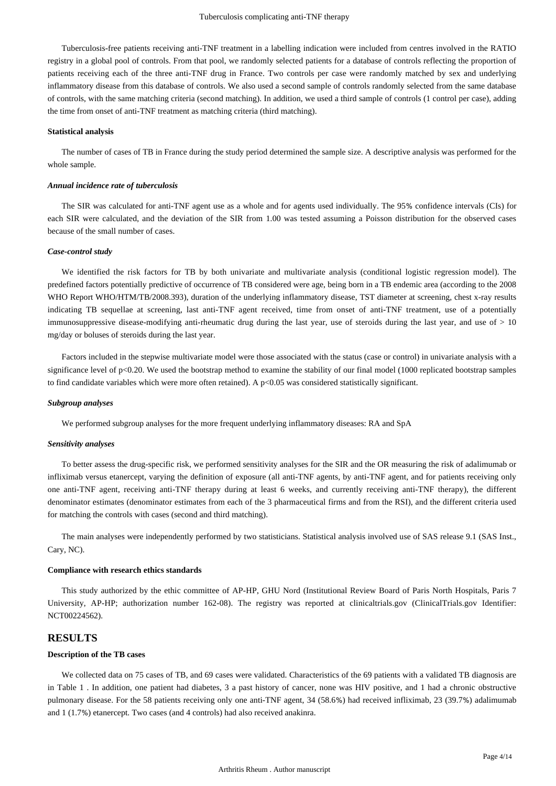Tuberculosis-free patients receiving anti-TNF treatment in a labelling indication were included from centres involved in the RATIO registry in a global pool of controls. From that pool, we randomly selected patients for a database of controls reflecting the proportion of patients receiving each of the three anti-TNF drug in France. Two controls per case were randomly matched by sex and underlying inflammatory disease from this database of controls. We also used a second sample of controls randomly selected from the same database of controls, with the same matching criteria (second matching). In addition, we used a third sample of controls (1 control per case), adding the time from onset of anti-TNF treatment as matching criteria (third matching).

#### **Statistical analysis**

The number of cases of TB in France during the study period determined the sample size. A descriptive analysis was performed for the whole sample.

#### *Annual incidence rate of tuberculosis*

The SIR was calculated for anti-TNF agent use as a whole and for agents used individually. The 95% confidence intervals (CIs) for each SIR were calculated, and the deviation of the SIR from 1.00 was tested assuming a Poisson distribution for the observed cases because of the small number of cases.

#### *Case-control study*

We identified the risk factors for TB by both univariate and multivariate analysis (conditional logistic regression model). The predefined factors potentially predictive of occurrence of TB considered were age, being born in a TB endemic area (according to the 2008 WHO Report WHO/HTM/TB/2008.393), duration of the underlying inflammatory disease, TST diameter at screening, chest x-ray results indicating TB sequellae at screening, last anti-TNF agent received, time from onset of anti-TNF treatment, use of a potentially immunosuppressive disease-modifying anti-rheumatic drug during the last year, use of steroids during the last year, and use of  $> 10$ mg/day or boluses of steroids during the last year.

Factors included in the stepwise multivariate model were those associated with the status (case or control) in univariate analysis with a significance level of p<0.20. We used the bootstrap method to examine the stability of our final model (1000 replicated bootstrap samples to find candidate variables which were more often retained). A  $p<0.05$  was considered statistically significant.

#### *Subgroup analyses*

We performed subgroup analyses for the more frequent underlying inflammatory diseases: RA and SpA

#### *Sensitivity analyses*

To better assess the drug-specific risk, we performed sensitivity analyses for the SIR and the OR measuring the risk of adalimumab or infliximab versus etanercept, varying the definition of exposure (all anti-TNF agents, by anti-TNF agent, and for patients receiving only one anti-TNF agent, receiving anti-TNF therapy during at least 6 weeks, and currently receiving anti-TNF therapy), the different denominator estimates (denominator estimates from each of the 3 pharmaceutical firms and from the RSI), and the different criteria used for matching the controls with cases (second and third matching).

The main analyses were independently performed by two statisticians. Statistical analysis involved use of SAS release 9.1 (SAS Inst., Cary, NC).

#### **Compliance with research ethics standards**

This study authorized by the ethic committee of AP-HP, GHU Nord (Institutional Review Board of Paris North Hospitals, Paris 7 University, AP-HP; authorization number 162-08). The registry was reported at clinicaltrials.gov (ClinicalTrials.gov Identifier: NCT00224562).

## **RESULTS**

#### **Description of the TB cases**

We collected data on 75 cases of TB, and 69 cases were validated. Characteristics of the 69 patients with a validated TB diagnosis are in Table 1 . In addition, one patient had diabetes, 3 a past history of cancer, none was HIV positive, and 1 had a chronic obstructive pulmonary disease. For the 58 patients receiving only one anti-TNF agent, 34 (58.6%) had received infliximab, 23 (39.7%) adalimumab and 1 (1.7%) etanercept. Two cases (and 4 controls) had also received anakinra.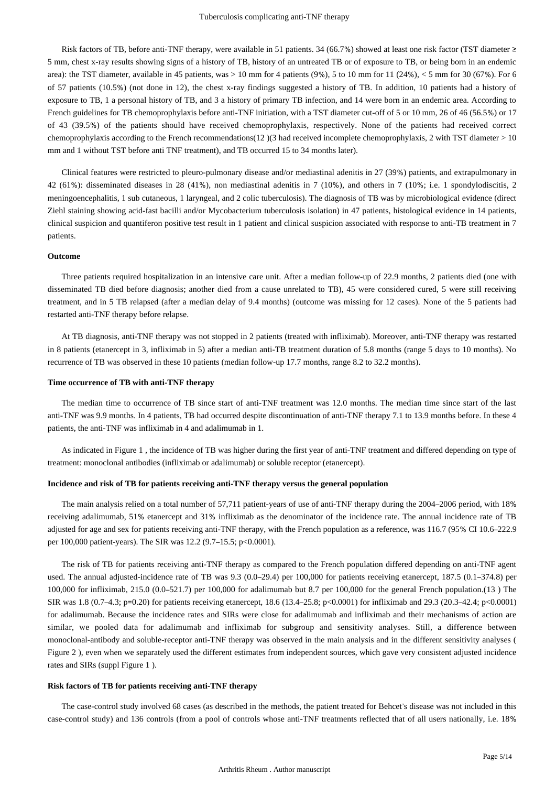Risk factors of TB, before anti-TNF therapy, were available in 51 patients. 34 (66.7%) showed at least one risk factor (TST diameter ≥ 5 mm, chest x-ray results showing signs of a history of TB, history of an untreated TB or of exposure to TB, or being born in an endemic area): the TST diameter, available in 45 patients, was  $> 10$  mm for 4 patients (9%), 5 to 10 mm for 11 (24%),  $<$  5 mm for 30 (67%). For 6 of 57 patients (10.5%) (not done in 12), the chest x-ray findings suggested a history of TB. In addition, 10 patients had a history of exposure to TB, 1 a personal history of TB, and 3 a history of primary TB infection, and 14 were born in an endemic area. According to French guidelines for TB chemoprophylaxis before anti-TNF initiation, with a TST diameter cut-off of 5 or 10 mm, 26 of 46 (56.5%) or 17 of 43 (39.5%) of the patients should have received chemoprophylaxis, respectively. None of the patients had received correct chemoprophylaxis according to the French recommendations(12 )(3 had received incomplete chemoprophylaxis, 2 with TST diameter > 10 mm and 1 without TST before anti TNF treatment), and TB occurred 15 to 34 months later).

Clinical features were restricted to pleuro-pulmonary disease and/or mediastinal adenitis in 27 (39%) patients, and extrapulmonary in 42 (61%): disseminated diseases in 28 (41%), non mediastinal adenitis in 7 (10%), and others in 7 (10%; i.e. 1 spondylodiscitis, 2 meningoencephalitis, 1 sub cutaneous, 1 laryngeal, and 2 colic tuberculosis). The diagnosis of TB was by microbiological evidence (direct Ziehl staining showing acid-fast bacilli and/or Mycobacterium tuberculosis isolation) in 47 patients, histological evidence in 14 patients, clinical suspicion and quantiferon positive test result in 1 patient and clinical suspicion associated with response to anti-TB treatment in 7 patients.

#### **Outcome**

Three patients required hospitalization in an intensive care unit. After a median follow-up of 22.9 months, 2 patients died (one with disseminated TB died before diagnosis; another died from a cause unrelated to TB), 45 were considered cured, 5 were still receiving treatment, and in 5 TB relapsed (after a median delay of 9.4 months) (outcome was missing for 12 cases). None of the 5 patients had restarted anti-TNF therapy before relapse.

At TB diagnosis, anti-TNF therapy was not stopped in 2 patients (treated with infliximab). Moreover, anti-TNF therapy was restarted in 8 patients (etanercept in 3, infliximab in 5) after a median anti-TB treatment duration of 5.8 months (range 5 days to 10 months). No recurrence of TB was observed in these 10 patients (median follow-up 17.7 months, range 8.2 to 32.2 months).

#### **Time occurrence of TB with anti-TNF therapy**

The median time to occurrence of TB since start of anti-TNF treatment was 12.0 months. The median time since start of the last anti-TNF was 9.9 months. In 4 patients, TB had occurred despite discontinuation of anti-TNF therapy 7.1 to 13.9 months before. In these 4 patients, the anti-TNF was infliximab in 4 and adalimumab in 1.

As indicated in Figure 1 , the incidence of TB was higher during the first year of anti-TNF treatment and differed depending on type of treatment: monoclonal antibodies (infliximab or adalimumab) or soluble receptor (etanercept).

#### **Incidence and risk of TB for patients receiving anti-TNF therapy versus the general population**

The main analysis relied on a total number of 57,711 patient-years of use of anti-TNF therapy during the 2004–2006 period, with 18% receiving adalimumab, 51% etanercept and 31% infliximab as the denominator of the incidence rate. The annual incidence rate of TB adjusted for age and sex for patients receiving anti-TNF therapy, with the French population as a reference, was 116.7 (95% CI 10.6–222.9 per 100,000 patient-years). The SIR was 12.2 (9.7–15.5; p<0.0001).

The risk of TB for patients receiving anti-TNF therapy as compared to the French population differed depending on anti-TNF agent used. The annual adjusted-incidence rate of TB was 9.3 (0.0–29.4) per 100,000 for patients receiving etanercept, 187.5 (0.1–374.8) per 100,000 for infliximab, 215.0 (0.0–521.7) per 100,000 for adalimumab but 8.7 per 100,000 for the general French population.(13 ) The SIR was 1.8 (0.7–4.3; p=0.20) for patients receiving etanercept, 18.6 (13.4–25.8; p<0.0001) for infliximab and 29.3 (20.3–42.4; p<0.0001) for adalimumab. Because the incidence rates and SIRs were close for adalimumab and infliximab and their mechanisms of action are similar, we pooled data for adalimumab and infliximab for subgroup and sensitivity analyses. Still, a difference between monoclonal-antibody and soluble-receptor anti-TNF therapy was observed in the main analysis and in the different sensitivity analyses ( Figure 2 ), even when we separately used the different estimates from independent sources, which gave very consistent adjusted incidence rates and SIRs (suppl Figure 1 ).

#### **Risk factors of TB for patients receiving anti-TNF therapy**

The case-control study involved 68 cases (as described in the methods, the patient treated for Behcet's disease was not included in this case-control study) and 136 controls (from a pool of controls whose anti-TNF treatments reflected that of all users nationally, i.e. 18%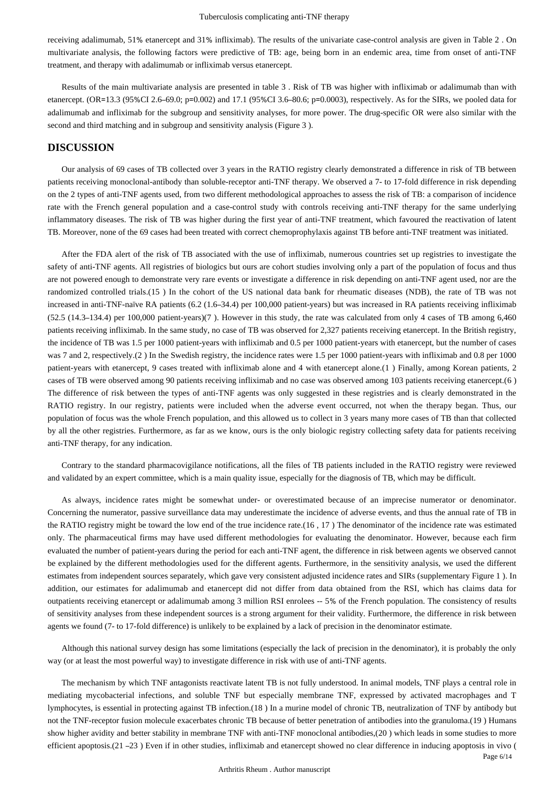receiving adalimumab, 51% etanercept and 31% infliximab). The results of the univariate case-control analysis are given in Table 2 . On multivariate analysis, the following factors were predictive of TB: age, being born in an endemic area, time from onset of anti-TNF treatment, and therapy with adalimumab or infliximab versus etanercept.

Results of the main multivariate analysis are presented in table 3 . Risk of TB was higher with infliximab or adalimumab than with etanercept. (OR=13.3 (95%CI 2.6–69.0; p=0.002) and 17.1 (95%CI 3.6–80.6; p=0.0003), respectively. As for the SIRs, we pooled data for adalimumab and infliximab for the subgroup and sensitivity analyses, for more power. The drug-specific OR were also similar with the second and third matching and in subgroup and sensitivity analysis (Figure 3 ).

## **DISCUSSION**

Our analysis of 69 cases of TB collected over 3 years in the RATIO registry clearly demonstrated a difference in risk of TB between patients receiving monoclonal-antibody than soluble-receptor anti-TNF therapy. We observed a 7- to 17-fold difference in risk depending on the 2 types of anti-TNF agents used, from two different methodological approaches to assess the risk of TB: a comparison of incidence rate with the French general population and a case-control study with controls receiving anti-TNF therapy for the same underlying inflammatory diseases. The risk of TB was higher during the first year of anti-TNF treatment, which favoured the reactivation of latent TB. Moreover, none of the 69 cases had been treated with correct chemoprophylaxis against TB before anti-TNF treatment was initiated.

After the FDA alert of the risk of TB associated with the use of infliximab, numerous countries set up registries to investigate the safety of anti-TNF agents. All registries of biologics but ours are cohort studies involving only a part of the population of focus and thus are not powered enough to demonstrate very rare events or investigate a difference in risk depending on anti-TNF agent used, nor are the randomized controlled trials.(15 ) In the cohort of the US national data bank for rheumatic diseases (NDB), the rate of TB was not increased in anti-TNF-naïve RA patients (6.2 (1.6–34.4) per 100,000 patient-years) but was increased in RA patients receiving infliximab (52.5 (14.3–134.4) per 100,000 patient-years)(7 ). However in this study, the rate was calculated from only 4 cases of TB among 6,460 patients receiving infliximab. In the same study, no case of TB was observed for 2,327 patients receiving etanercept. In the British registry, the incidence of TB was 1.5 per 1000 patient-years with infliximab and 0.5 per 1000 patient-years with etanercept, but the number of cases was 7 and 2, respectively. (2) In the Swedish registry, the incidence rates were 1.5 per 1000 patient-years with infliximab and 0.8 per 1000 patient-years with etanercept, 9 cases treated with infliximab alone and 4 with etanercept alone.(1 ) Finally, among Korean patients, 2 cases of TB were observed among 90 patients receiving infliximab and no case was observed among 103 patients receiving etanercept.(6 ) The difference of risk between the types of anti-TNF agents was only suggested in these registries and is clearly demonstrated in the RATIO registry. In our registry, patients were included when the adverse event occurred, not when the therapy began. Thus, our population of focus was the whole French population, and this allowed us to collect in 3 years many more cases of TB than that collected by all the other registries. Furthermore, as far as we know, ours is the only biologic registry collecting safety data for patients receiving anti-TNF therapy, for any indication.

Contrary to the standard pharmacovigilance notifications, all the files of TB patients included in the RATIO registry were reviewed and validated by an expert committee, which is a main quality issue, especially for the diagnosis of TB, which may be difficult.

As always, incidence rates might be somewhat under- or overestimated because of an imprecise numerator or denominator. Concerning the numerator, passive surveillance data may underestimate the incidence of adverse events, and thus the annual rate of TB in the RATIO registry might be toward the low end of the true incidence rate.(16 , 17 ) The denominator of the incidence rate was estimated only. The pharmaceutical firms may have used different methodologies for evaluating the denominator. However, because each firm evaluated the number of patient-years during the period for each anti-TNF agent, the difference in risk between agents we observed cannot be explained by the different methodologies used for the different agents. Furthermore, in the sensitivity analysis, we used the different estimates from independent sources separately, which gave very consistent adjusted incidence rates and SIRs (supplementary Figure 1 ). In addition, our estimates for adalimumab and etanercept did not differ from data obtained from the RSI, which has claims data for outpatients receiving etanercept or adalimumab among 3 million RSI enrolees -- 5% of the French population. The consistency of results of sensitivity analyses from these independent sources is a strong argument for their validity. Furthermore, the difference in risk between agents we found (7- to 17-fold difference) is unlikely to be explained by a lack of precision in the denominator estimate.

Although this national survey design has some limitations (especially the lack of precision in the denominator), it is probably the only way (or at least the most powerful way) to investigate difference in risk with use of anti-TNF agents.

Page 6/14 The mechanism by which TNF antagonists reactivate latent TB is not fully understood. In animal models, TNF plays a central role in mediating mycobacterial infections, and soluble TNF but especially membrane TNF, expressed by activated macrophages and T lymphocytes, is essential in protecting against TB infection.(18 ) In a murine model of chronic TB, neutralization of TNF by antibody but not the TNF-receptor fusion molecule exacerbates chronic TB because of better penetration of antibodies into the granuloma.(19 ) Humans show higher avidity and better stability in membrane TNF with anti-TNF monoclonal antibodies,(20 ) which leads in some studies to more efficient apoptosis.(21 –23 ) Even if in other studies, infliximab and etanercept showed no clear difference in inducing apoptosis in vivo (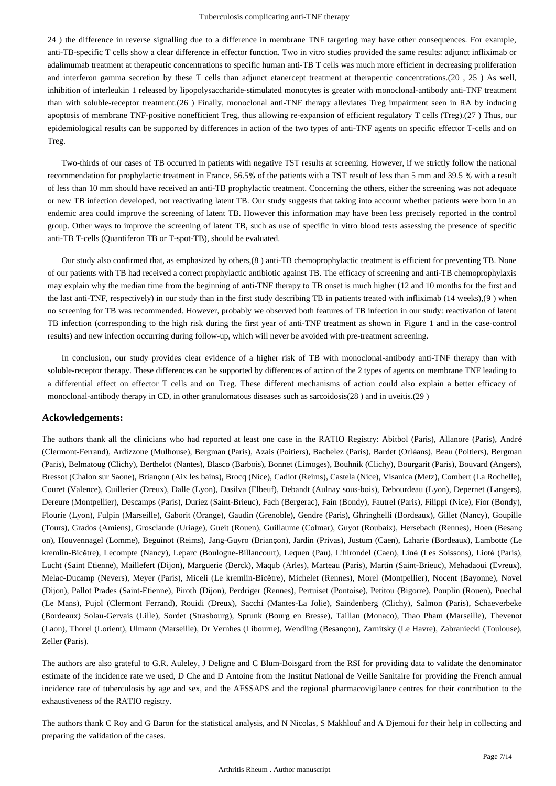24 ) the difference in reverse signalling due to a difference in membrane TNF targeting may have other consequences. For example, anti-TB-specific T cells show a clear difference in effector function. Two in vitro studies provided the same results: adjunct infliximab or adalimumab treatment at therapeutic concentrations to specific human anti-TB T cells was much more efficient in decreasing proliferation and interferon gamma secretion by these T cells than adjunct etanercept treatment at therapeutic concentrations.(20 , 25 ) As well, inhibition of interleukin 1 released by lipopolysaccharide-stimulated monocytes is greater with monoclonal-antibody anti-TNF treatment than with soluble-receptor treatment.(26 ) Finally, monoclonal anti-TNF therapy alleviates Treg impairment seen in RA by inducing apoptosis of membrane TNF-positive nonefficient Treg, thus allowing re-expansion of efficient regulatory T cells (Treg).(27 ) Thus, our epidemiological results can be supported by differences in action of the two types of anti-TNF agents on specific effector T-cells and on Treg.

Two-thirds of our cases of TB occurred in patients with negative TST results at screening. However, if we strictly follow the national recommendation for prophylactic treatment in France, 56.5% of the patients with a TST result of less than 5 mm and 39.5 % with a result of less than 10 mm should have received an anti-TB prophylactic treatment. Concerning the others, either the screening was not adequate or new TB infection developed, not reactivating latent TB. Our study suggests that taking into account whether patients were born in an endemic area could improve the screening of latent TB. However this information may have been less precisely reported in the control group. Other ways to improve the screening of latent TB, such as use of specific in vitro blood tests assessing the presence of specific anti-TB T-cells (Quantiferon TB or T-spot-TB), should be evaluated.

Our study also confirmed that, as emphasized by others,(8 ) anti-TB chemoprophylactic treatment is efficient for preventing TB. None of our patients with TB had received a correct prophylactic antibiotic against TB. The efficacy of screening and anti-TB chemoprophylaxis may explain why the median time from the beginning of anti-TNF therapy to TB onset is much higher (12 and 10 months for the first and the last anti-TNF, respectively) in our study than in the first study describing TB in patients treated with infliximab (14 weeks),(9 ) when no screening for TB was recommended. However, probably we observed both features of TB infection in our study: reactivation of latent TB infection (corresponding to the high risk during the first year of anti-TNF treatment as shown in Figure 1 and in the case-control results) and new infection occurring during follow-up, which will never be avoided with pre-treatment screening.

In conclusion, our study provides clear evidence of a higher risk of TB with monoclonal-antibody anti-TNF therapy than with soluble-receptor therapy. These differences can be supported by differences of action of the 2 types of agents on membrane TNF leading to a differential effect on effector T cells and on Treg. These different mechanisms of action could also explain a better efficacy of monoclonal-antibody therapy in CD, in other granulomatous diseases such as sarcoidosis(28 ) and in uveitis.(29 )

## **Ackowledgements:**

The authors thank all the clinicians who had reported at least one case in the RATIO Registry: Abitbol (Paris), Allanore (Paris), André (Clermont-Ferrand), Ardizzone (Mulhouse), Bergman (Paris), Azais (Poitiers), Bachelez (Paris), Bardet (Orléans), Beau (Poitiers), Bergman (Paris), Belmatoug (Clichy), Berthelot (Nantes), Blasco (Barbois), Bonnet (Limoges), Bouhnik (Clichy), Bourgarit (Paris), Bouvard (Angers), Bressot (Chalon sur Saone), Briançon (Aix les bains), Brocq (Nice), Cadiot (Reims), Castela (Nice), Visanica (Metz), Combert (La Rochelle), Couret (Valence), Cuillerier (Dreux), Dalle (Lyon), Dasilva (Elbeuf), Debandt (Aulnay sous-bois), Debourdeau (Lyon), Depernet (Langers), Dereure (Montpellier), Descamps (Paris), Duriez (Saint-Brieuc), Fach (Bergerac), Fain (Bondy), Fautrel (Paris), Filippi (Nice), Fior (Bondy), Flourie (Lyon), Fulpin (Marseille), Gaborit (Orange), Gaudin (Grenoble), Gendre (Paris), Ghringhelli (Bordeaux), Gillet (Nancy), Goupille (Tours), Grados (Amiens), Grosclaude (Uriage), Gueit (Rouen), Guillaume (Colmar), Guyot (Roubaix), Hersebach (Rennes), Hoen (Besanç on), Houvennagel (Lomme), Beguinot (Reims), Jang-Guyro (Briançon), Jardin (Privas), Justum (Caen), Laharie (Bordeaux), Lambotte (Le kremlin-Bicêtre), Lecompte (Nancy), Leparc (Boulogne-Billancourt), Lequen (Pau), L'hirondel (Caen), Liné (Les Soissons), Lioté (Paris), Lucht (Saint Etienne), Maillefert (Dijon), Marguerie (Berck), Maqub (Arles), Marteau (Paris), Martin (Saint-Brieuc), Mehadaoui (Evreux), Melac-Ducamp (Nevers), Meyer (Paris), Miceli (Le kremlin-Bicêtre), Michelet (Rennes), Morel (Montpellier), Nocent (Bayonne), Novel (Dijon), Pallot Prades (Saint-Etienne), Piroth (Dijon), Perdriger (Rennes), Pertuiset (Pontoise), Petitou (Bigorre), Pouplin (Rouen), Puechal (Le Mans), Pujol (Clermont Ferrand), Rouidi (Dreux), Sacchi (Mantes-La Jolie), Saindenberg (Clichy), Salmon (Paris), Schaeverbeke (Bordeaux) Solau-Gervais (Lille), Sordet (Strasbourg), Sprunk (Bourg en Bresse), Taillan (Monaco), Thao Pham (Marseille), Thevenot (Laon), Thorel (Lorient), Ulmann (Marseille), Dr Vernhes (Libourne), Wendling (Besançon), Zarnitsky (Le Havre), Zabraniecki (Toulouse), Zeller (Paris).

The authors are also grateful to G.R. Auleley, J Deligne and C Blum-Boisgard from the RSI for providing data to validate the denominator estimate of the incidence rate we used, D Che and D Antoine from the Institut National de Veille Sanitaire for providing the French annual incidence rate of tuberculosis by age and sex, and the AFSSAPS and the regional pharmacovigilance centres for their contribution to the exhaustiveness of the RATIO registry.

The authors thank C Roy and G Baron for the statistical analysis, and N Nicolas, S Makhlouf and A Djemoui for their help in collecting and preparing the validation of the cases.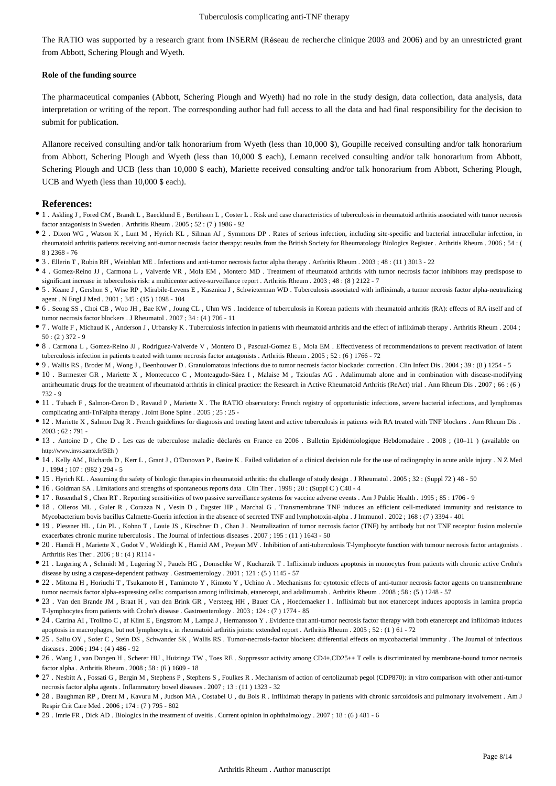The RATIO was supported by a research grant from INSERM (Réseau de recherche clinique 2003 and 2006) and by an unrestricted grant from Abbott, Schering Plough and Wyeth.

#### **Role of the funding source**

The pharmaceutical companies (Abbott, Schering Plough and Wyeth) had no role in the study design, data collection, data analysis, data interpretation or writing of the report. The corresponding author had full access to all the data and had final responsibility for the decision to submit for publication.

Allanore received consulting and/or talk honorarium from Wyeth (less than 10,000 \$), Goupille received consulting and/or talk honorarium from Abbott, Schering Plough and Wyeth (less than 10,000 \$ each), Lemann received consulting and/or talk honorarium from Abbott, Schering Plough and UCB (less than 10,000 \$ each), Mariette received consulting and/or talk honorarium from Abbott, Schering Plough, UCB and Wyeth (less than 10,000 \$ each).

#### **References:**

- 1 . Askling J , Fored CM , Brandt L , Baecklund E , Bertilsson L , Coster L . Risk and case characteristics of tuberculosis in rheumatoid arthritis associated with tumor necrosis factor antagonists in Sweden . Arthritis Rheum . 2005 ; 52 : (7 ) 1986 - 92
- 2 . Dixon WG , Watson K , Lunt M , Hyrich KL , Silman AJ , Symmons DP . Rates of serious infection, including site-specific and bacterial intracellular infection, in rheumatoid arthritis patients receiving anti-tumor necrosis factor therapy: results from the British Society for Rheumatology Biologics Register . Arthritis Rheum . 2006 ; 54 : ( 8 ) 2368 - 76
- 3 . Ellerin T , Rubin RH , Weinblatt ME . Infections and anti-tumor necrosis factor alpha therapy . Arthritis Rheum . 2003 ; 48 : (11 ) 3013 22
- 4 . Gomez-Reino JJ , Carmona L , Valverde VR , Mola EM , Montero MD . Treatment of rheumatoid arthritis with tumor necrosis factor inhibitors may predispose to significant increase in tuberculosis risk: a multicenter active-surveillance report . Arthritis Rheum . 2003 ; 48 : (8 ) 2122 - 7
- 5 . Keane J , Gershon S , Wise RP , Mirabile-Levens E , Kasznica J , Schwieterman WD . Tuberculosis associated with infliximab, a tumor necrosis factor alpha-neutralizing agent . N Engl J Med . 2001 ; 345 : (15 ) 1098 - 104
- 6 . Seong SS , Choi CB , Woo JH , Bae KW , Joung CL , Uhm WS . Incidence of tuberculosis in Korean patients with rheumatoid arthritis (RA): effects of RA itself and of tumor necrosis factor blockers . J Rheumatol . 2007 ; 34 : (4 ) 706 - 11
- 7 . Wolfe F , Michaud K , Anderson J , Urbansky K . Tuberculosis infection in patients with rheumatoid arthritis and the effect of infliximab therapy . Arthritis Rheum . 2004 ;  $50 \div (2$ )<br> 372 - 9
- 8 . Carmona L , Gomez-Reino JJ , Rodriguez-Valverde V , Montero D , Pascual-Gomez E , Mola EM . Effectiveness of recommendations to prevent reactivation of latent tuberculosis infection in patients treated with tumor necrosis factor antagonists . Arthritis Rheum . 2005 ; 52 : (6 ) 1766 - 72
- 9 . Wallis RS , Broder M , Wong J , Beenhouwer D . Granulomatous infections due to tumor necrosis factor blockade: correction . Clin Infect Dis . 2004 ; 39 : (8 ) 1254 5
- 10 . Burmester GR , Mariette X , Montecucco C , Monteagudo-Sáez I , Malaise M , Tzioufas AG . Adalimumab alone and in combination with disease-modifying antirheumatic drugs for the treatment of rheumatoid arthritis in clinical practice: the Research in Active Rheumatoid Arthritis (ReAct) trial . Ann Rheum Dis . 2007 ; 66 : (6 ) 732 - 9
- 11 . Tubach F , Salmon-Ceron D , Ravaud P , Mariette X . The RATIO observatory: French registry of opportunistic infections, severe bacterial infections, and lymphomas complicating anti-TnFalpha therapy . Joint Bone Spine . 2005 ; 25 : 25 -
- 12 . Mariette X , Salmon Dag R . French guidelines for diagnosis and treating latent and active tuberculosis in patients with RA treated with TNF blockers . Ann Rheum Dis . 2003 ; 62 : 791 -
- 13 . Antoine D , Che D . Les cas de tuberculose maladie déclarés en France en 2006 . Bulletin Epidémiologique Hebdomadaire . 2008 ; (10–11 ) (available on http://www.invs.sante.fr/BEh )
- 14 . Kelly AM , Richards D , Kerr L , Grant J , O'Donovan P , Basire K . Failed validation of a clinical decision rule for the use of radiography in acute ankle injury . N Z Med J . 1994 ; 107 : (982 ) 294 - 5
- 15 . Hyrich KL . Assuming the safety of biologic therapies in rheumatoid arthritis: the challenge of study design . J Rheumatol . 2005 ; 32 : (Suppl 72 ) 48 50
- 16 . Goldman SA . Limitations and strengths of spontaneous reports data . Clin Ther . 1998 ; 20 : (Suppl C ) C40 4
- 17 . Rosenthal S , Chen RT . Reporting sensitivities of two passive surveillance systems for vaccine adverse events . Am J Public Health . 1995 ; 85 : 1706 9
- 18 . Olleros ML , Guler R , Corazza N , Vesin D , Eugster HP , Marchal G . Transmembrane TNF induces an efficient cell-mediated immunity and resistance to Mycobacterium bovis bacillus Calmette-Guerin infection in the absence of secreted TNF and lymphotoxin-alpha . J Immunol . 2002 ; 168 : (7 ) 3394 - 401
- 19 . Plessner HL , Lin PL , Kohno T , Louie JS , Kirschner D , Chan J . Neutralization of tumor necrosis factor (TNF) by antibody but not TNF receptor fusion molecule exacerbates chronic murine tuberculosis . The Journal of infectious diseases . 2007 ; 195 : (11 ) 1643 - 50
- 20 . Hamdi H , Mariette X , Godot V , Weldingh K , Hamid AM , Prejean MV . Inhibition of anti-tuberculosis T-lymphocyte function with tumour necrosis factor antagonists . Arthritis Res Ther . 2006 ; 8 : (4 ) R114 -
- 21 . Lugering A , Schmidt M , Lugering N , Pauels HG , Domschke W , Kucharzik T . Infliximab induces apoptosis in monocytes from patients with chronic active Crohn's disease by using a caspase-dependent pathway . Gastroenterology . 2001 ; 121 : (5 ) 1145 - 57
- 22 . Mitoma H , Horiuchi T , Tsukamoto H , Tamimoto Y , Kimoto Y , Uchino A . Mechanisms for cytotoxic effects of anti-tumor necrosis factor agents on transmembrane tumor necrosis factor alpha-expressing cells: comparison among infliximab, etanercept, and adalimumab . Arthritis Rheum . 2008 ; 58 : (5 ) 1248 - 57
- 23 . Van den Brande JM , Braat H , van den Brink GR , Versteeg HH , Bauer CA , Hoedemaeker I . Infliximab but not etanercept induces apoptosis in lamina propria T-lymphocytes from patients with Crohn's disease . Gastroenterology . 2003 ; 124 : (7 ) 1774 - 85
- 24 . Catrina AI , Trollmo C , af Klint E , Engstrom M , Lampa J , Hermansson Y . Evidence that anti-tumor necrosis factor therapy with both etanercept and infliximab induces apoptosis in macrophages, but not lymphocytes, in rheumatoid arthritis joints: extended report . Arthritis Rheum . 2005 ; 52 : (1 ) 61 - 72
- 25 . Saliu OY , Sofer C , Stein DS , Schwander SK , Wallis RS . Tumor-necrosis-factor blockers: differential effects on mycobacterial immunity . The Journal of infectious diseases . 2006 ; 194 : (4 ) 486 - 92
- 26 . Wang J , van Dongen H , Scherer HU , Huizinga TW , Toes RE . Suppressor activity among CD4+,CD25++ T cells is discriminated by membrane-bound tumor necrosis factor alpha . Arthritis Rheum . 2008 ; 58 : (6 ) 1609 - 18
- 27 . Nesbitt A , Fossati G , Bergin M , Stephens P , Stephens S , Foulkes R . Mechanism of action of certolizumab pegol (CDP870): in vitro comparison with other anti-tumor necrosis factor alpha agents . Inflammatory bowel diseases . 2007 ; 13 : (11 ) 1323 - 32
- 28 . Baughman RP , Drent M , Kavuru M , Judson MA , Costabel U , du Bois R . Infliximab therapy in patients with chronic sarcoidosis and pulmonary involvement . Am J Respir Crit Care Med  $2006 \cdot 174 \cdot (7) 795 - 802$
- 29 . Imrie FR , Dick AD . Biologics in the treatment of uveitis . Current opinion in ophthalmology . 2007 ; 18 : (6 ) 481 6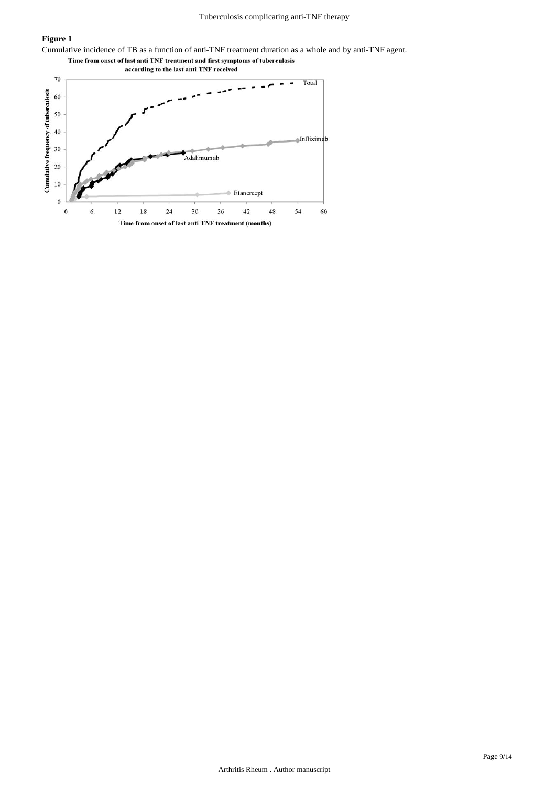## **Figure 1**

Cumulative incidence of TB as a function of anti-TNF treatment duration as a whole and by anti-TNF agent.

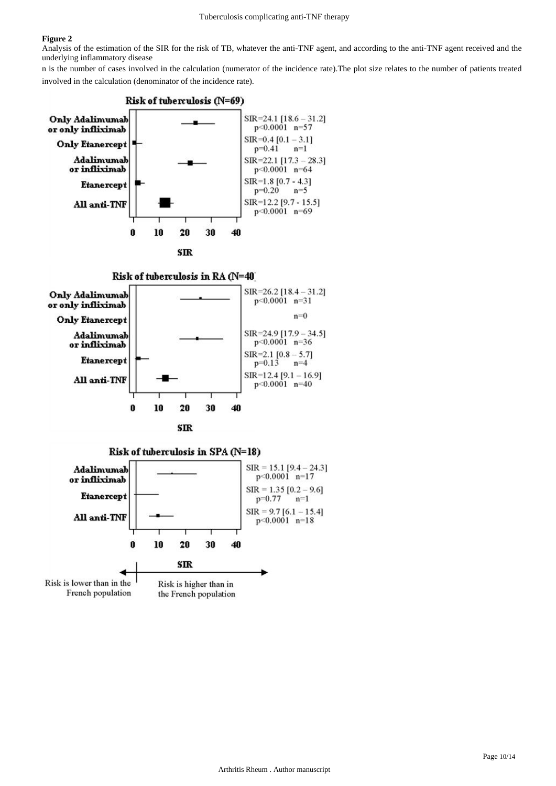#### **Figure 2**

Analysis of the estimation of the SIR for the risk of TB, whatever the anti-TNF agent, and according to the anti-TNF agent received and the underlying inflammatory disease

n is the number of cases involved in the calculation (numerator of the incidence rate).The plot size relates to the number of patients treated involved in the calculation (denominator of the incidence rate).



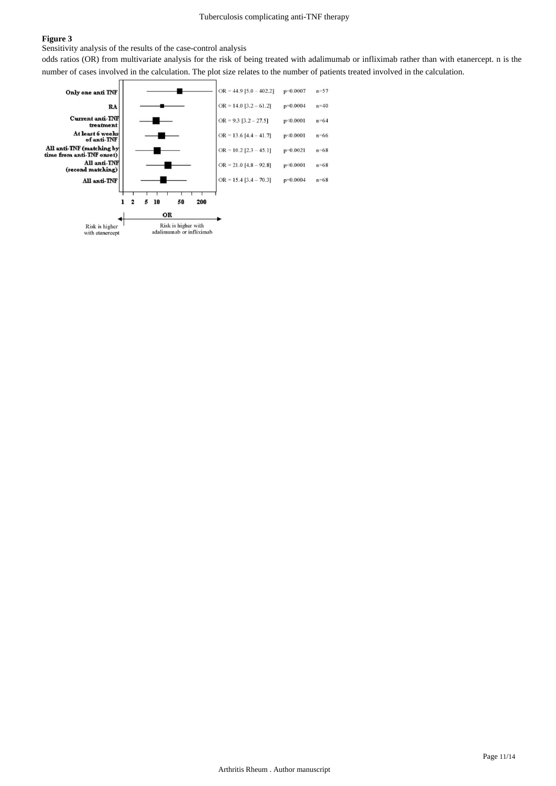## **Figure 3**

Sensitivity analysis of the results of the case-control analysis

odds ratios (OR) from multivariate analysis for the risk of being treated with adalimumab or infliximab rather than with etanercept. n is the number of cases involved in the calculation. The plot size relates to the number of patients treated involved in the calculation.

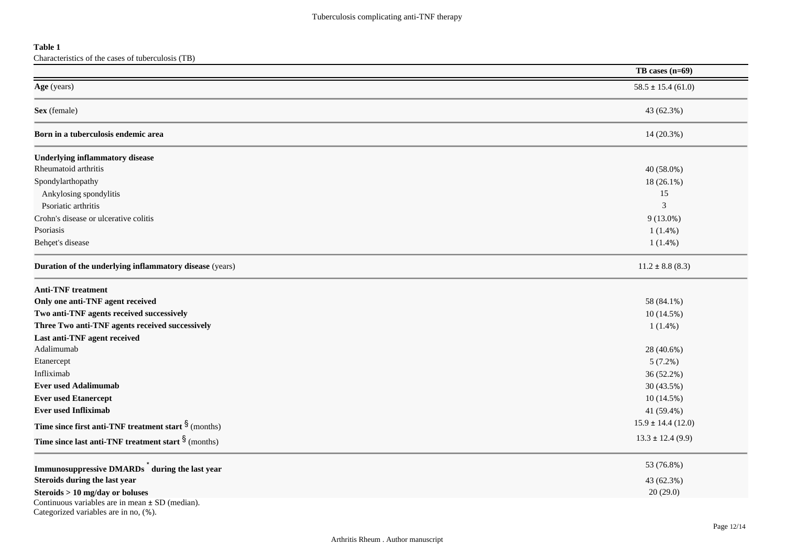## **Table 1**

Characteristics of the cases of tuberculosis (TB)

|                                                                  | TB cases $(n=69)$      |
|------------------------------------------------------------------|------------------------|
| Age (years)                                                      | $58.5 \pm 15.4$ (61.0) |
| Sex (female)                                                     | 43 (62.3%)             |
| Born in a tuberculosis endemic area                              | 14 (20.3%)             |
| <b>Underlying inflammatory disease</b>                           |                        |
| Rheumatoid arthritis                                             | 40 (58.0%)             |
| Spondylarthopathy                                                | 18 (26.1%)             |
| Ankylosing spondylitis                                           | 15                     |
| Psoriatic arthritis                                              | 3                      |
| Crohn's disease or ulcerative colitis                            | $9(13.0\%)$            |
| Psoriasis                                                        | $1(1.4\%)$             |
| Behçet's disease                                                 | $1(1.4\%)$             |
| Duration of the underlying inflammatory disease (years)          | $11.2 \pm 8.8$ (8.3)   |
| <b>Anti-TNF</b> treatment                                        |                        |
| Only one anti-TNF agent received                                 | 58 (84.1%)             |
| Two anti-TNF agents received successively                        | $10(14.5\%)$           |
| Three Two anti-TNF agents received successively                  | $1(1.4\%)$             |
| Last anti-TNF agent received                                     |                        |
| Adalimumab                                                       | 28 (40.6%)             |
| Etanercept                                                       | 5(7.2%)                |
| Infliximab                                                       | 36 (52.2%)             |
| <b>Ever used Adalimumab</b>                                      | 30 (43.5%)             |
| <b>Ever used Etanercept</b>                                      | $10(14.5\%)$           |
| <b>Ever used Infliximab</b>                                      | 41 (59.4%)             |
| Time since first anti-TNF treatment start $\frac{S}{S}$ (months) | $15.9 \pm 14.4$ (12.0) |
| Time since last anti-TNF treatment start $\frac{S}{S}$ (months)  | $13.3 \pm 12.4$ (9.9)  |
| Immunosuppressive DMARDs during the last year                    | 53 (76.8%)             |
| Steroids during the last year                                    | 43 (62.3%)             |
| $Steroids > 10$ mg/day or boluses                                | 20(29.0)               |
| Continuous variables are in mean $\pm$ SD (median).              |                        |

Categorized variables are in no, (%).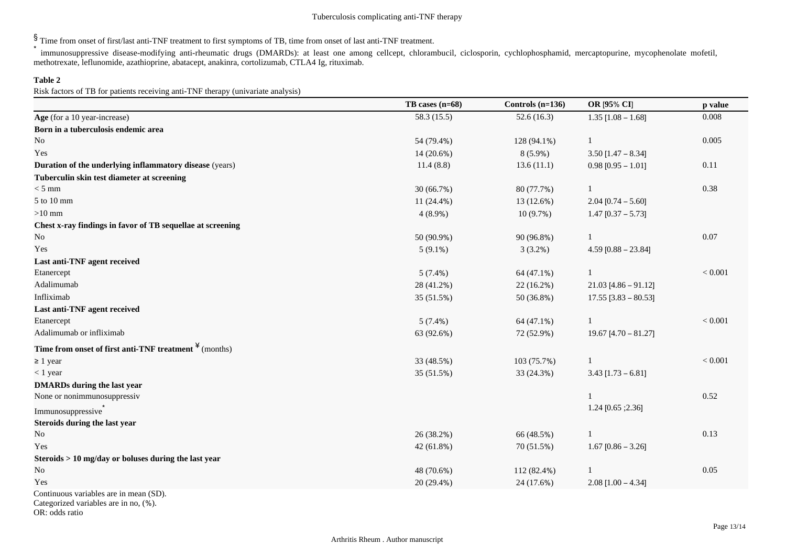§ Time from onset of first/last anti-TNF treatment to first symptoms of TB, time from onset of last anti-TNF treatment.

\* immunosuppressive disease-modifying anti-rheumatic drugs (DMARDs): at least one among cellcept, chlorambucil, ciclosporin, cychlophosphamid, mercaptopurine, mycophenolate mofetil, methotrexate, leflunomide, azathioprine, abatacept, anakinra, cortolizumab, CTLA4 Ig, rituximab.

## **Table 2**

Risk factors of TB for patients receiving anti-TNF therapy (univariate analysis)

|                                                            | TB cases $(n=68)$ | Controls $(n=136)$ | OR [95% CI]            | p value |
|------------------------------------------------------------|-------------------|--------------------|------------------------|---------|
| Age (for a 10 year-increase)                               | 58.3 (15.5)       | 52.6(16.3)         | $1.35$ [1.08 - 1.68]   | 0.008   |
| Born in a tuberculosis endemic area                        |                   |                    |                        |         |
| No                                                         | 54 (79.4%)        | 128 (94.1%)        | $\mathbf{1}$           | 0.005   |
| Yes                                                        | $14(20.6\%)$      | $8(5.9\%)$         | $3.50$ [1.47 – 8.34]   |         |
| Duration of the underlying inflammatory disease (years)    | 11.4(8.8)         | 13.6(11.1)         | $0.98$ [0.95 - 1.01]   | 0.11    |
| Tuberculin skin test diameter at screening                 |                   |                    |                        |         |
| $< 5$ mm                                                   | 30(66.7%)         | 80 (77.7%)         | 1                      | 0.38    |
| 5 to 10 mm                                                 | $11(24.4\%)$      | 13 (12.6%)         | $2.04$ [0.74 - 5.60]   |         |
| $>10$ mm                                                   | $4(8.9\%)$        | 10(9.7%)           | $1.47$ [0.37 - 5.73]   |         |
| Chest x-ray findings in favor of TB sequellae at screening |                   |                    |                        |         |
| No                                                         | 50 (90.9%)        | 90 (96.8%)         | 1                      | 0.07    |
| Yes                                                        | $5(9.1\%)$        | $3(3.2\%)$         | $4.59$ [0.88 - 23.84]  |         |
| Last anti-TNF agent received                               |                   |                    |                        |         |
| Etanercept                                                 | 5(7.4%)           | 64 (47.1%)         | 1                      | < 0.001 |
| Adalimumab                                                 | 28 (41.2%)        | $22(16.2\%)$       | $21.03$ [4.86 – 91.12] |         |
| Infliximab                                                 | 35 (51.5%)        | 50 (36.8%)         | $17.55$ [3.83 - 80.53] |         |
| Last anti-TNF agent received                               |                   |                    |                        |         |
| Etanercept                                                 | 5(7.4%)           | 64 (47.1%)         | 1                      | < 0.001 |
| Adalimumab or infliximab                                   | 63 (92.6%)        | 72 (52.9%)         | $19.67$ [4.70 - 81.27] |         |
| Time from onset of first anti-TNF treatment $*$ (months)   |                   |                    |                        |         |
| $\geq 1$ year                                              | 33 (48.5%)        | 103 (75.7%)        | -1                     | < 0.001 |
| $< 1$ year                                                 | 35 (51.5%)        | 33 (24.3%)         | $3.43$ [1.73 – 6.81]   |         |
| <b>DMARDs</b> during the last year                         |                   |                    |                        |         |
| None or nonimmunosuppressiv                                |                   |                    | 1                      | 0.52    |
| Immunosuppressive <sup>®</sup>                             |                   |                    | 1.24 [0.65; 2.36]      |         |
| Steroids during the last year                              |                   |                    |                        |         |
| No                                                         | 26 (38.2%)        | 66 (48.5%)         | 1                      | 0.13    |
| Yes                                                        | 42 (61.8%)        | 70 (51.5%)         | $1.67$ [0.86 - 3.26]   |         |
| Steroids $> 10$ mg/day or boluses during the last year     |                   |                    |                        |         |
| No                                                         | 48 (70.6%)        | 112 (82.4%)        |                        | 0.05    |
| Yes                                                        | 20 (29.4%)        | 24 (17.6%)         | $2.08$ [1.00 - 4.34]   |         |
| Continuous variable are in mean (CD)                       |                   |                    |                        |         |

Continuous variables are in mean (SD).

Categorized variables are in no, (%). OR: odds ratio